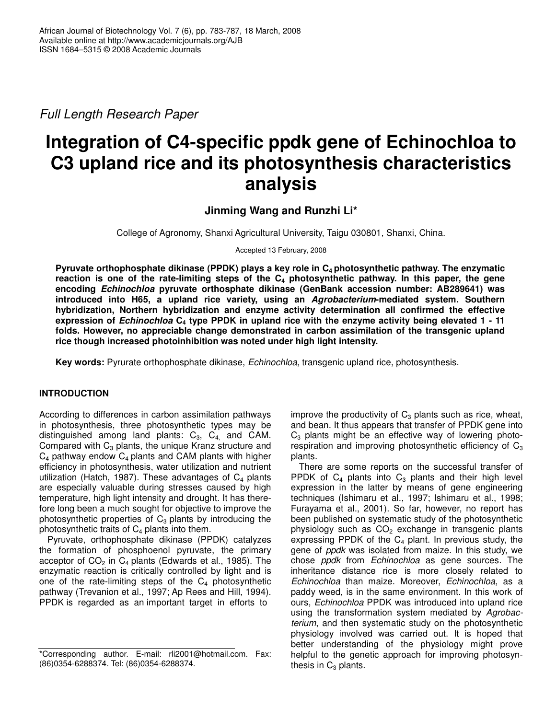*Full Length Research Paper*

# **Integration of C4-specific ppdk gene of Echinochloa to C3 upland rice and its photosynthesis characteristics analysis**

**Jinming Wang and Runzhi Li\***

College of Agronomy, Shanxi Agricultural University, Taigu 030801, Shanxi, China.

Accepted 13 February, 2008

**Pyruvate orthophosphate dikinase (PPDK) plays a key role in C<sup>4</sup> photosynthetic pathway. The enzymatic** reaction is one of the rate-limiting steps of the  $C_4$  photosynthetic pathway. In this paper, the gene **encoding** *Echinochloa* **pyruvate orthosphate dikinase (GenBank accession number: AB289641) was introduced into H65, a upland rice variety, using an** *Agrobacterium***-mediated system. Southern hybridization, Northern hybridization and enzyme activity determination all confirmed the effective** expression of *Echinochloa*  $C_4$  type PPDK in upland rice with the enzyme activity being elevated 1 - 11 **folds. However, no appreciable change demonstrated in carbon assimilation of the transgenic upland rice though increased photoinhibition was noted under high light intensity.**

**Key words:** Pyrurate orthophosphate dikinase, *Echinochloa*, transgenic upland rice, photosynthesis.

## **INTRODUCTION**

According to differences in carbon assimilation pathways in photosynthesis, three photosynthetic types may be distinguished among land plants:  $C_3$ ,  $C_4$  and CAM. Compared with  $C_3$  plants, the unique Kranz structure and  $C_4$  pathway endow  $C_4$  plants and CAM plants with higher efficiency in photosynthesis, water utilization and nutrient utilization (Hatch, 1987). These advantages of  $C_4$  plants are especially valuable during stresses caused by high temperature, high light intensity and drought. It has therefore long been a much sought for objective to improve the photosynthetic properties of  $C_3$  plants by introducing the photosynthetic traits of  $C_4$  plants into them.

Pyruvate, orthophosphate dikinase (PPDK) catalyzes the formation of phosphoenol pyruvate, the primary acceptor of  $CO<sub>2</sub>$  in  $C<sub>4</sub>$  plants (Edwards et al., 1985). The enzymatic reaction is critically controlled by light and is one of the rate-limiting steps of the  $C_4$  photosynthetic pathway (Trevanion et al., 1997; Ap Rees and Hill, 1994). PPDK is regarded as an important target in efforts to

improve the productivity of  $C_3$  plants such as rice, wheat, and bean. It thus appears that transfer of PPDK gene into  $C_3$  plants might be an effective way of lowering photorespiration and improving photosynthetic efficiency of  $C_3$ plants.

There are some reports on the successful transfer of PPDK of  $C_4$  plants into  $C_3$  plants and their high level expression in the latter by means of gene engineering techniques (Ishimaru et al., 1997; Ishimaru et al., 1998; Furayama et al., 2001). So far, however, no report has been published on systematic study of the photosynthetic physiology such as  $CO<sub>2</sub>$  exchange in transgenic plants expressing PPDK of the  $C_4$  plant. In previous study, the gene of *ppdk* was isolated from maize. In this study, we chose *ppdk* from *Echinochloa* as gene sources*.* The inheritance distance rice is more closely related to *Echinochloa* than maize. Moreover, *Echinochloa*, as a paddy weed, is in the same environment. In this work of ours, *Echinochloa* PPDK was introduced into upland rice using the transformation system mediated by *Agrobacterium*, and then systematic study on the photosynthetic physiology involved was carried out. It is hoped that better understanding of the physiology might prove helpful to the genetic approach for improving photosynthesis in  $C_3$  plants.

<sup>\*</sup>Corresponding author. E-mail: rli2001@hotmail.com. Fax: (86)0354-6288374. Tel: (86)0354-6288374.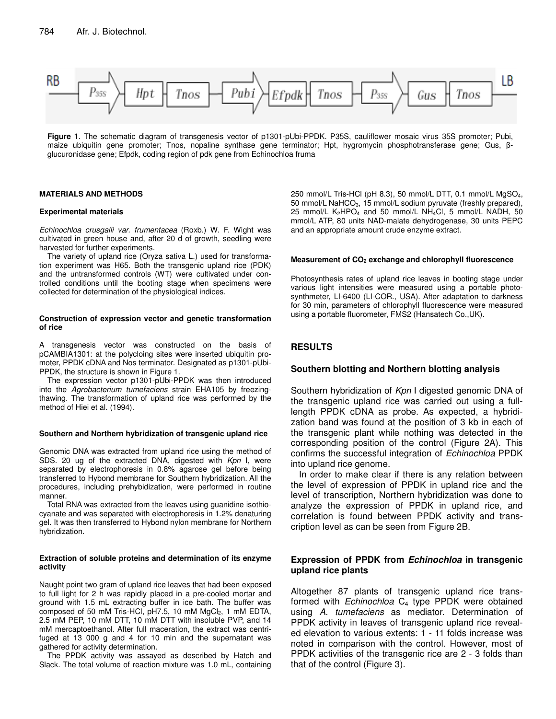

**Figure 1**. The schematic diagram of transgenesis vector of p1301-pUbi-PPDK. P35S, cauliflower mosaic virus 35S promoter; Pubi, maize ubiquitin gene promoter; Tnos, nopaline synthase gene terminator; Hpt, hygromycin phosphotransferase gene; Gus, βglucuronidase gene; Efpdk, coding region of pdk gene from Echinochloa fruma

## **MATERIALS AND METHODS**

#### **Experimental materials**

*Echinochloa crusgalli var. frumentacea* (Roxb.) W. F. Wight was cultivated in green house and, after 20 d of growth, seedling were harvested for further experiments.

The variety of upland rice (Oryza sativa L.) used for transformation experiment was H65. Both the transgenic upland rice (PDK) and the untransformed controls (WT) were cultivated under controlled conditions until the booting stage when specimens were collected for determination of the physiological indices.

#### **Construction of expression vector and genetic transformation of rice**

A transgenesis vector was constructed on the basis of pCAMBIA1301: at the polycloing sites were inserted ubiquitin promoter, PPDK cDNA and Nos terminator. Designated as p1301-pUbi-PPDK, the structure is shown in Figure 1.

The expression vector p1301-pUbi-PPDK was then introduced into the *Agrobacterium tumefaciens* strain EHA105 by freezingthawing. The transformation of upland rice was performed by the method of Hiei et al. (1994).

## **Southern and Northern hybridization of transgenic upland rice**

Genomic DNA was extracted from upland rice using the method of SDS. 20 ug of the extracted DNA, digested with *Kpn* I, were separated by electrophoresis in 0.8% agarose gel before being transferred to Hybond membrane for Southern hybridization. All the procedures, including prehybidization, were performed in routine manner.

Total RNA was extracted from the leaves using guanidine isothiocyanate and was separated with electrophoresis in 1.2% denaturing gel. It was then transferred to Hybond nylon membrane for Northern hybridization.

#### **Extraction of soluble proteins and determination of its enzyme activity**

Naught point two gram of upland rice leaves that had been exposed to full light for 2 h was rapidly placed in a pre-cooled mortar and ground with 1.5 mL extracting buffer in ice bath. The buffer was composed of 50 mM Tris-HCl, pH7.5, 10 mM  $MgCl<sub>2</sub>$ , 1 mM EDTA, 2.5 mM PEP, 10 mM DTT, 10 mM DTT with insoluble PVP, and 14 mM mercaptoethanol. After full maceration, the extract was centrifuged at 13 000 g and 4 for 10 min and the supernatant was gathered for activity determination.

The PPDK activity was assayed as described by Hatch and Slack. The total volume of reaction mixture was 1.0 mL, containing 250 mmol/L Tris-HCl (pH 8.3), 50 mmol/L DTT, 0.1 mmol/L MgSO4, 50 mmol/L NaHCO<sub>3</sub>, 15 mmol/L sodium pyruvate (freshly prepared), 25 mmol/L K<sub>2</sub>HPO<sub>4</sub> and 50 mmol/L NH<sub>4</sub>Cl, 5 mmol/L NADH, 50 mmol/L ATP, 80 units NAD-malate dehydrogenase, 30 units PEPC and an appropriate amount crude enzyme extract.

#### **Measurement of CO<sup>2</sup> exchange and chlorophyll fluorescence**

Photosynthesis rates of upland rice leaves in booting stage under various light intensities were measured using a portable photosynthmeter, LI-6400 (LI-COR., USA). After adaptation to darkness for 30 min, parameters of chlorophyll fluorescence were measured using a portable fluorometer, FMS2 (Hansatech Co.,UK).

## **RESULTS**

## **Southern blotting and Northern blotting analysis**

Southern hybridization of *Kpn* I digested genomic DNA of the transgenic upland rice was carried out using a fulllength PPDK cDNA as probe. As expected, a hybridization band was found at the position of 3 kb in each of the transgenic plant while nothing was detected in the corresponding position of the control (Figure 2A). This confirms the successful integration of *Echinochloa* PPDK into upland rice genome.

In order to make clear if there is any relation between the level of expression of PPDK in upland rice and the level of transcription, Northern hybridization was done to analyze the expression of PPDK in upland rice, and correlation is found between PPDK activity and transcription level as can be seen from Figure 2B.

## **Expression of PPDK from** *Echinochloa* **in transgenic upland rice plants**

Altogether 87 plants of transgenic upland rice transformed with *Echinochloa* C<sub>4</sub> type PPDK were obtained using *A. tumefaciens* as mediator. Determination of PPDK activity in leaves of transgenic upland rice revealed elevation to various extents: 1 - 11 folds increase was noted in comparison with the control. However, most of PPDK activities of the transgenic rice are 2 - 3 folds than that of the control (Figure 3).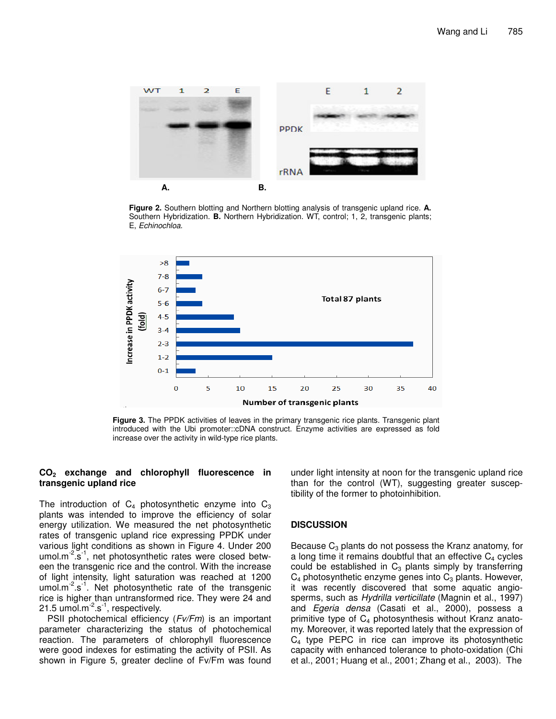

**Figure 2.** Southern blotting and Northern blotting analysis of transgenic upland rice. **A.** Southern Hybridization. **B.** Northern Hybridization. WT, control; 1, 2, transgenic plants; E, *Echinochloa*.



**Figure 3.** The PPDK activities of leaves in the primary transgenic rice plants. Transgenic plant introduced with the Ubi promoter::cDNA construct. Enzyme activities are expressed as fold increase over the activity in wild-type rice plants.

## **CO<sup>2</sup> exchange and chlorophyll fluorescence in transgenic upland rice**

The introduction of  $C_4$  photosynthetic enzyme into  $C_3$ plants was intended to improve the efficiency of solar energy utilization. We measured the net photosynthetic rates of transgenic upland rice expressing PPDK under various light conditions as shown in Figure 4. Under 200 umol.m<sup>-2</sup>.s<sup>-1</sup>, net photosynthetic rates were closed between the transgenic rice and the control. With the increase of light intensity, light saturation was reached at 1200 umol.m<sup>-2</sup>.s<sup>-1</sup>. Net photosynthetic rate of the transgenic rice is higher than untransformed rice. They were 24 and 21.5 umol. $m^{-2}$ .s<sup>-1</sup>, respectively.

PSII photochemical efficiency (*Fv/Fm*) is an important parameter characterizing the status of photochemical reaction. The parameters of chlorophyll fluorescence were good indexes for estimating the activity of PSII. As shown in Figure 5, greater decline of Fv/Fm was found under light intensity at noon for the transgenic upland rice than for the control (WT), suggesting greater susceptibility of the former to photoinhibition.

## **DISCUSSION**

Because  $C_3$  plants do not possess the Kranz anatomy, for a long time it remains doubtful that an effective  $C_4$  cycles could be established in  $C_3$  plants simply by transferring  $C_4$  photosynthetic enzyme genes into  $C_3$  plants. However, it was recently discovered that some aquatic angiosperms, such as *Hydrilla verticillate* (Magnin et al., 1997) and *Egeria densa* (Casati et al., 2000), possess a primitive type of  $C_4$  photosynthesis without Kranz anatomy. Moreover, it was reported lately that the expression of  $C_4$  type PEPC in rice can improve its photosynthetic capacity with enhanced tolerance to photo-oxidation (Chi et al., 2001; Huang et al., 2001; Zhang et al., 2003). The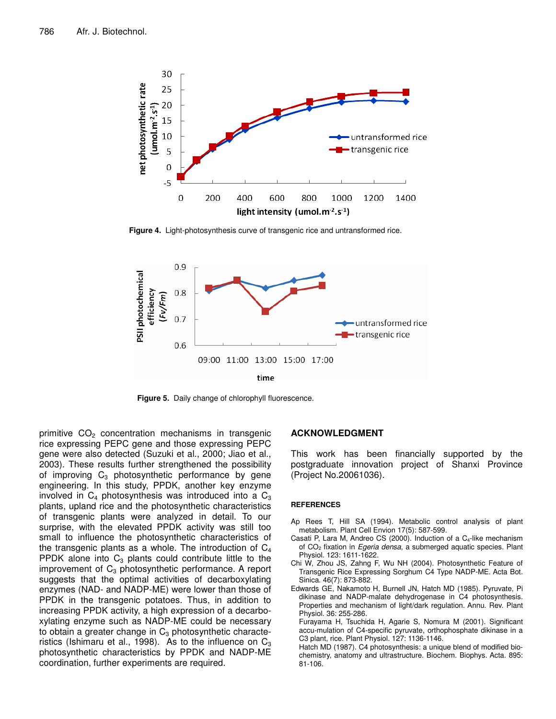

**Figure 4.** Light-photosynthesis curve of transgenic rice and untransformed rice.



**Figure 5.** Daily change of chlorophyll fluorescence.

primitive  $CO<sub>2</sub>$  concentration mechanisms in transgenic rice expressing PEPC gene and those expressing PEPC gene were also detected (Suzuki et al., 2000; Jiao et al., 2003). These results further strengthened the possibility of improving  $C_3$  photosynthetic performance by gene engineering. In this study, PPDK, another key enzyme involved in  $C_4$  photosynthesis was introduced into a  $C_3$ plants, upland rice and the photosynthetic characteristics of transgenic plants were analyzed in detail. To our surprise, with the elevated PPDK activity was still too small to influence the photosynthetic characteristics of the transgenic plants as a whole. The introduction of  $C_4$ PPDK alone into  $C_3$  plants could contribute little to the improvement of  $C_3$  photosynthetic performance. A report suggests that the optimal activities of decarboxylating enzymes (NAD- and NADP-ME) were lower than those of PPDK in the transgenic potatoes. Thus, in addition to increasing PPDK activity, a high expression of a decarboxylating enzyme such as NADP-ME could be necessary to obtain a greater change in  $C_3$  photosynthetic characteristics (Ishimaru et al., 1998). As to the influence on  $C_3$ photosynthetic characteristics by PPDK and NADP-ME coordination, further experiments are required.

## **ACKNOWLEDGMENT**

This work has been financially supported by the postgraduate innovation project of Shanxi Province (Project No.20061036).

#### **REFERENCES**

- Ap Rees T, Hill SA (1994). Metabolic control analysis of plant metabolism. Plant Cell Envion 17(5): 587-599.
- Casati P, Lara M, Andreo CS (2000). Induction of a  $C_4$ -like mechanism of CO<sup>2</sup> fixation in *Egeria densa*, a submerged aquatic species. Plant Physiol. 123: 1611-1622.
- Chi W, Zhou JS, Zahng F, Wu NH (2004). Photosynthetic Feature of Transgenic Rice Expressing Sorghum C4 Type NADP-ME. Acta Bot. Sinica. 46(7): 873-882.
- Edwards GE, Nakamoto H, Burnell JN, Hatch MD (1985). Pyruvate, Pi dikinase and NADP-malate dehydrogenase in C4 photosynthesis. Properties and mechanism of light/dark regulation. Annu. Rev. Plant Physiol*.* 36: 255-286.

Furayama H, Tsuchida H, Agarie S, Nomura M (2001). Significant accu-mulation of C4-specific pyruvate, orthophosphate dikinase in a C3 plant, rice. Plant Physiol. 127: 1136-1146.

Hatch MD (1987). C4 photosynthesis: a unique blend of modified biochemistry, anatomy and ultrastructure. Biochem. Biophys. Acta. 895: 81-106.